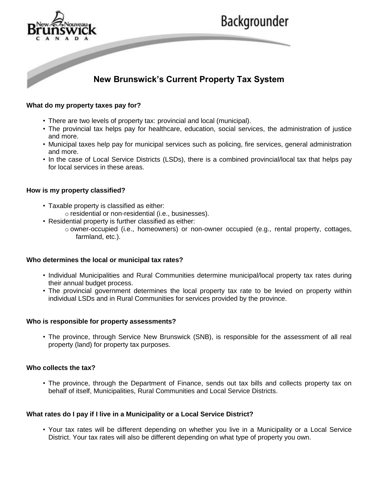

# Backgrounder

# **New Brunswick's Current Property Tax System**

# **What do my property taxes pay for?**

- There are two levels of property tax: provincial and local (municipal).
- The provincial tax helps pay for healthcare, education, social services, the administration of justice and more.
- Municipal taxes help pay for municipal services such as policing, fire services, general administration and more.
- In the case of Local Service Districts (LSDs), there is a combined provincial/local tax that helps pay for local services in these areas.

### **How is my property classified?**

- Taxable property is classified as either:
	- o residential or non-residential (i.e., businesses).
- Residential property is further classified as either:
	- o owner-occupied (i.e., homeowners) or non-owner occupied (e.g., rental property, cottages, farmland, etc.).

# **Who determines the local or municipal tax rates?**

- Individual Municipalities and Rural Communities determine municipal/local property tax rates during their annual budget process.
- The provincial government determines the local property tax rate to be levied on property within individual LSDs and in Rural Communities for services provided by the province.

#### **Who is responsible for property assessments?**

• The province, through Service New Brunswick (SNB), is responsible for the assessment of all real property (land) for property tax purposes.

#### **Who collects the tax?**

• The province, through the Department of Finance, sends out tax bills and collects property tax on behalf of itself, Municipalities, Rural Communities and Local Service Districts.

# **What rates do I pay if I live in a Municipality or a Local Service District?**

• Your tax rates will be different depending on whether you live in a Municipality or a Local Service District. Your tax rates will also be different depending on what type of property you own.